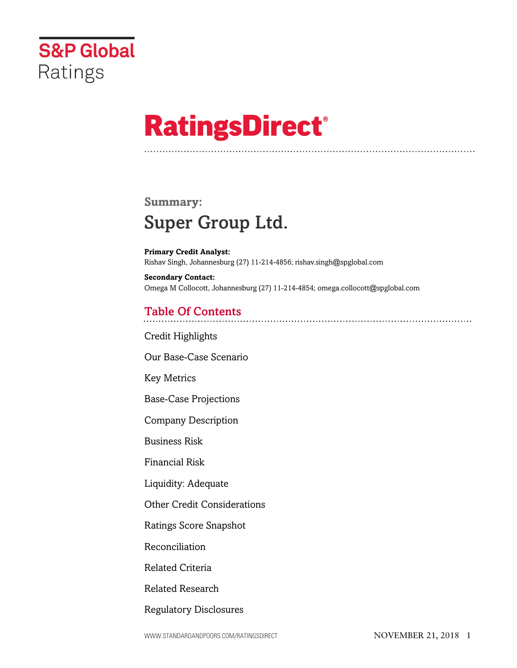

# **RatingsDirect®**

## **Summary:** Super Group Ltd.

**Primary Credit Analyst:** Rishav Singh, Johannesburg (27) 11-214-4856; rishav.singh@spglobal.com

**Secondary Contact:** Omega M Collocott, Johannesburg (27) 11-214-4854; omega.collocott@spglobal.com

### Table Of Contents

[Credit Highlights](#page-2-0)

[Our Base-Case Scenario](#page-3-0)

[Key Metrics](#page-3-1)

[Base-Case Projections](#page-4-0)

[Company Description](#page-4-1)

[Business Risk](#page-4-2)

[Financial Risk](#page-7-0)

[Liquidity: Adequate](#page-8-0)

[Other Credit Considerations](#page-9-0)

[Ratings Score Snapshot](#page-9-1)

[Reconciliation](#page-10-0)

[Related Criteria](#page-11-0)

[Related Research](#page-11-1)

[Regulatory Disclosures](#page-11-2)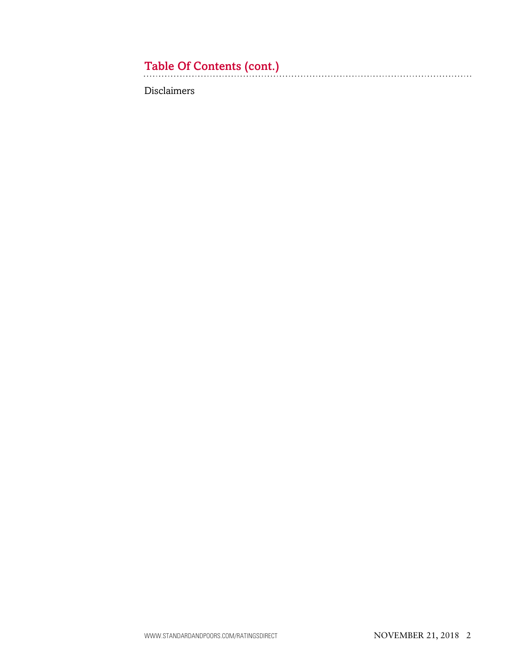# Table Of Contents (cont.)

[Disclaimers](#page-11-3)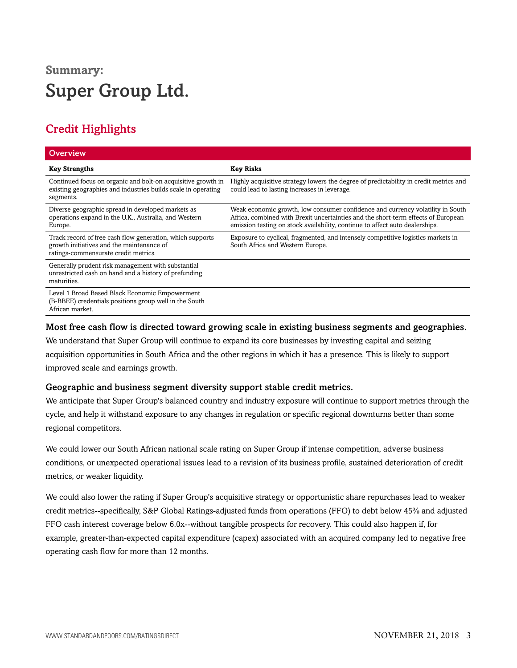# **Summary:** Super Group Ltd.

### <span id="page-2-0"></span>Credit Highlights

| Overview                                                                                                                                       |                                                                                                                                                                                                                                                     |
|------------------------------------------------------------------------------------------------------------------------------------------------|-----------------------------------------------------------------------------------------------------------------------------------------------------------------------------------------------------------------------------------------------------|
| <b>Key Strengths</b>                                                                                                                           | <b>Key Risks</b>                                                                                                                                                                                                                                    |
| Continued focus on organic and bolt-on acquisitive growth in<br>existing geographies and industries builds scale in operating<br>segments.     | Highly acquisitive strategy lowers the degree of predictability in credit metrics and<br>could lead to lasting increases in leverage.                                                                                                               |
| Diverse geographic spread in developed markets as<br>operations expand in the U.K., Australia, and Western<br>Europe.                          | Weak economic growth, low consumer confidence and currency volatility in South<br>Africa, combined with Brexit uncertainties and the short-term effects of European<br>emission testing on stock availability, continue to affect auto dealerships. |
| Track record of free cash flow generation, which supports<br>growth initiatives and the maintenance of<br>ratings-commensurate credit metrics. | Exposure to cyclical, fragmented, and intensely competitive logistics markets in<br>South Africa and Western Europe.                                                                                                                                |
| Generally prudent risk management with substantial<br>unrestricted cash on hand and a history of prefunding<br>maturities.                     |                                                                                                                                                                                                                                                     |
| Level 1 Broad Based Black Economic Empowerment<br>(B-BBEE) credentials positions group well in the South<br>African market.                    |                                                                                                                                                                                                                                                     |

#### Most free cash flow is directed toward growing scale in existing business segments and geographies.

We understand that Super Group will continue to expand its core businesses by investing capital and seizing acquisition opportunities in South Africa and the other regions in which it has a presence. This is likely to support improved scale and earnings growth.

#### Geographic and business segment diversity support stable credit metrics.

We anticipate that Super Group's balanced country and industry exposure will continue to support metrics through the cycle, and help it withstand exposure to any changes in regulation or specific regional downturns better than some regional competitors.

We could lower our South African national scale rating on Super Group if intense competition, adverse business conditions, or unexpected operational issues lead to a revision of its business profile, sustained deterioration of credit metrics, or weaker liquidity.

We could also lower the rating if Super Group's acquisitive strategy or opportunistic share repurchases lead to weaker credit metrics--specifically, S&P Global Ratings-adjusted funds from operations (FFO) to debt below 45% and adjusted FFO cash interest coverage below 6.0x--without tangible prospects for recovery. This could also happen if, for example, greater-than-expected capital expenditure (capex) associated with an acquired company led to negative free operating cash flow for more than 12 months.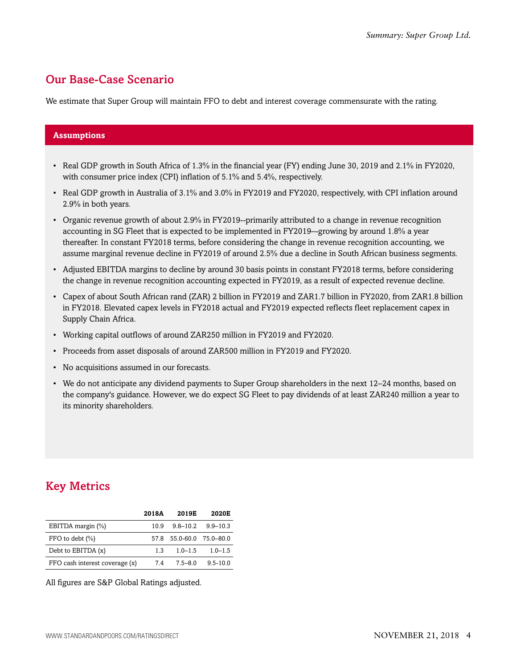### <span id="page-3-0"></span>Our Base-Case Scenario

We estimate that Super Group will maintain FFO to debt and interest coverage commensurate with the rating.

#### **Assumptions**

- Real GDP growth in South Africa of 1.3% in the financial year (FY) ending June 30, 2019 and 2.1% in FY2020, with consumer price index (CPI) inflation of 5.1% and 5.4%, respectively.
- Real GDP growth in Australia of 3.1% and 3.0% in FY2019 and FY2020, respectively, with CPI inflation around 2.9% in both years.
- Organic revenue growth of about 2.9% in FY2019--primarily attributed to a change in revenue recognition accounting in SG Fleet that is expected to be implemented in FY2019–-growing by around 1.8% a year thereafter. In constant FY2018 terms, before considering the change in revenue recognition accounting, we assume marginal revenue decline in FY2019 of around 2.5% due a decline in South African business segments.
- Adjusted EBITDA margins to decline by around 30 basis points in constant FY2018 terms, before considering the change in revenue recognition accounting expected in FY2019, as a result of expected revenue decline.
- Capex of about South African rand (ZAR) 2 billion in FY2019 and ZAR1.7 billion in FY2020, from ZAR1.8 billion in FY2018. Elevated capex levels in FY2018 actual and FY2019 expected reflects fleet replacement capex in Supply Chain Africa.
- Working capital outflows of around ZAR250 million in FY2019 and FY2020.
- Proceeds from asset disposals of around ZAR500 million in FY2019 and FY2020.
- No acquisitions assumed in our forecasts.
- We do not anticipate any dividend payments to Super Group shareholders in the next 12–24 months, based on the company's guidance. However, we do expect SG Fleet to pay dividends of at least ZAR240 million a year to its minority shareholders.

### <span id="page-3-1"></span>Key Metrics

|                                | <b>2018A</b> | 2019E                    | 2020E        |
|--------------------------------|--------------|--------------------------|--------------|
| EBITDA margin (%)              | 10.9         | $9.8 - 10.2$             | $9.9 - 10.3$ |
| FFO to debt $(\% )$            |              | 57.8 55.0-60.0 75.0-80.0 |              |
| Debt to EBITDA (x)             | 13           | $1.0 - 1.5$              | $1.0 - 1.5$  |
| FFO cash interest coverage (x) | 74           | $75 - 80$                | $9.5 - 10.0$ |

All figures are S&P Global Ratings adjusted.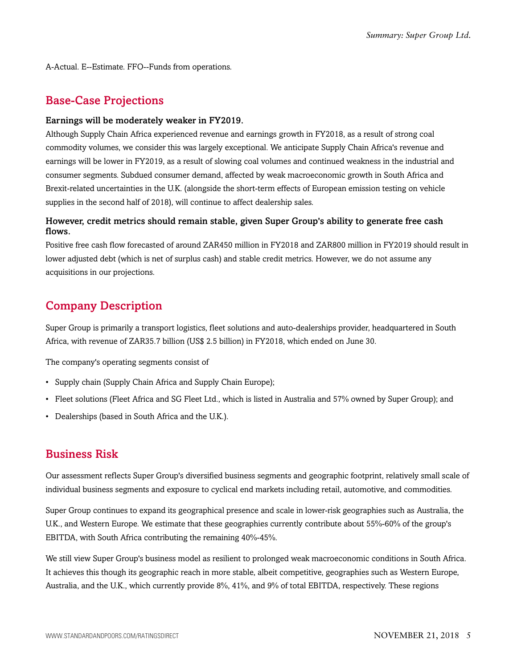<span id="page-4-0"></span>A-Actual. E--Estimate. FFO--Funds from operations.

### Base-Case Projections

#### Earnings will be moderately weaker in FY2019.

Although Supply Chain Africa experienced revenue and earnings growth in FY2018, as a result of strong coal commodity volumes, we consider this was largely exceptional. We anticipate Supply Chain Africa's revenue and earnings will be lower in FY2019, as a result of slowing coal volumes and continued weakness in the industrial and consumer segments. Subdued consumer demand, affected by weak macroeconomic growth in South Africa and Brexit-related uncertainties in the U.K. (alongside the short-term effects of European emission testing on vehicle supplies in the second half of 2018), will continue to affect dealership sales.

#### However, credit metrics should remain stable, given Super Group's ability to generate free cash flows.

Positive free cash flow forecasted of around ZAR450 million in FY2018 and ZAR800 million in FY2019 should result in lower adjusted debt (which is net of surplus cash) and stable credit metrics. However, we do not assume any acquisitions in our projections.

### <span id="page-4-1"></span>Company Description

Super Group is primarily a transport logistics, fleet solutions and auto-dealerships provider, headquartered in South Africa, with revenue of ZAR35.7 billion (US\$ 2.5 billion) in FY2018, which ended on June 30.

The company's operating segments consist of

- Supply chain (Supply Chain Africa and Supply Chain Europe);
- Fleet solutions (Fleet Africa and SG Fleet Ltd., which is listed in Australia and 57% owned by Super Group); and
- Dealerships (based in South Africa and the U.K.).

### <span id="page-4-2"></span>Business Risk

Our assessment reflects Super Group's diversified business segments and geographic footprint, relatively small scale of individual business segments and exposure to cyclical end markets including retail, automotive, and commodities.

Super Group continues to expand its geographical presence and scale in lower-risk geographies such as Australia, the U.K., and Western Europe. We estimate that these geographies currently contribute about 55%-60% of the group's EBITDA, with South Africa contributing the remaining 40%-45%.

We still view Super Group's business model as resilient to prolonged weak macroeconomic conditions in South Africa. It achieves this though its geographic reach in more stable, albeit competitive, geographies such as Western Europe, Australia, and the U.K., which currently provide 8%, 41%, and 9% of total EBITDA, respectively. These regions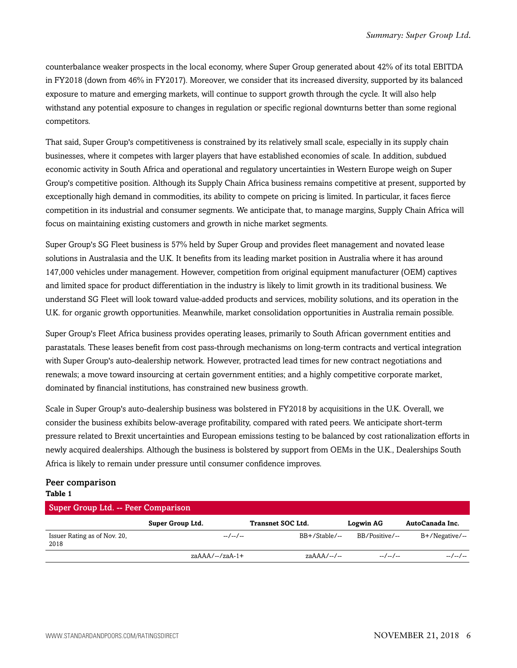counterbalance weaker prospects in the local economy, where Super Group generated about 42% of its total EBITDA in FY2018 (down from 46% in FY2017). Moreover, we consider that its increased diversity, supported by its balanced exposure to mature and emerging markets, will continue to support growth through the cycle. It will also help withstand any potential exposure to changes in regulation or specific regional downturns better than some regional competitors.

That said, Super Group's competitiveness is constrained by its relatively small scale, especially in its supply chain businesses, where it competes with larger players that have established economies of scale. In addition, subdued economic activity in South Africa and operational and regulatory uncertainties in Western Europe weigh on Super Group's competitive position. Although its Supply Chain Africa business remains competitive at present, supported by exceptionally high demand in commodities, its ability to compete on pricing is limited. In particular, it faces fierce competition in its industrial and consumer segments. We anticipate that, to manage margins, Supply Chain Africa will focus on maintaining existing customers and growth in niche market segments.

Super Group's SG Fleet business is 57% held by Super Group and provides fleet management and novated lease solutions in Australasia and the U.K. It benefits from its leading market position in Australia where it has around 147,000 vehicles under management. However, competition from original equipment manufacturer (OEM) captives and limited space for product differentiation in the industry is likely to limit growth in its traditional business. We understand SG Fleet will look toward value-added products and services, mobility solutions, and its operation in the U.K. for organic growth opportunities. Meanwhile, market consolidation opportunities in Australia remain possible.

Super Group's Fleet Africa business provides operating leases, primarily to South African government entities and parastatals. These leases benefit from cost pass-through mechanisms on long-term contracts and vertical integration with Super Group's auto-dealership network. However, protracted lead times for new contract negotiations and renewals; a move toward insourcing at certain government entities; and a highly competitive corporate market, dominated by financial institutions, has constrained new business growth.

Scale in Super Group's auto-dealership business was bolstered in FY2018 by acquisitions in the U.K. Overall, we consider the business exhibits below-average profitability, compared with rated peers. We anticipate short-term pressure related to Brexit uncertainties and European emissions testing to be balanced by cost rationalization efforts in newly acquired dealerships. Although the business is bolstered by support from OEMs in the U.K., Dealerships South Africa is likely to remain under pressure until consumer confidence improves.

#### Peer comparison **Table 1**

| Super Group Ltd. -- Peer Comparison  |                   |                          |                  |                 |  |  |
|--------------------------------------|-------------------|--------------------------|------------------|-----------------|--|--|
|                                      | Super Group Ltd.  | <b>Transnet SOC Ltd.</b> | <b>Logwin AG</b> | AutoCanada Inc. |  |  |
| Issuer Rating as of Nov. 20,<br>2018 | $-/-$             | $BB+/Stable/--$          | BB/Positive/--   | B+/Negative/--  |  |  |
|                                      | $zaAAA/--/zaA-1+$ | $z\alpha AAA/--$         | $-/-$            | --/--/--        |  |  |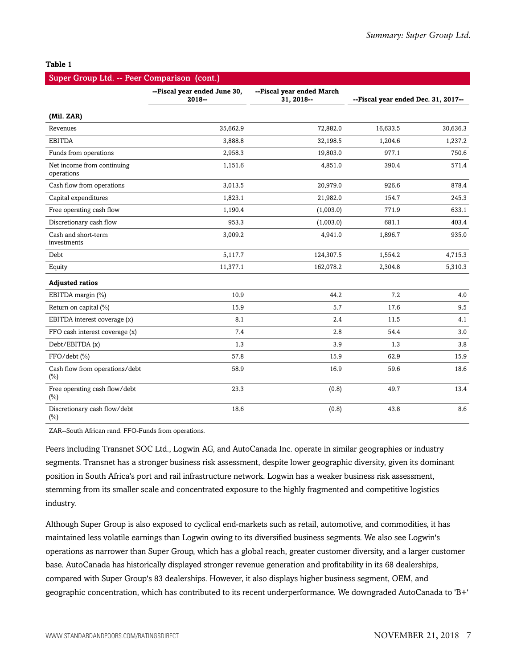#### **Table 1**

| Super Group Ltd. -- Peer Comparison (cont.) |                                          |                                         |                                     |          |  |  |
|---------------------------------------------|------------------------------------------|-----------------------------------------|-------------------------------------|----------|--|--|
|                                             | --Fiscal year ended June 30,<br>$2018 -$ | --Fiscal year ended March<br>31, 2018-- | --Fiscal year ended Dec. 31, 2017-- |          |  |  |
| (Mil. ZAR)                                  |                                          |                                         |                                     |          |  |  |
| Revenues                                    | 35,662.9                                 | 72,882.0                                | 16,633.5                            | 30,636.3 |  |  |
| <b>EBITDA</b>                               | 3,888.8                                  | 32,198.5                                | 1,204.6                             | 1,237.2  |  |  |
| Funds from operations                       | 2,958.3                                  | 19,803.0                                | 977.1                               | 750.6    |  |  |
| Net income from continuing<br>operations    | 1,151.6                                  | 4,851.0                                 | 390.4                               | 571.4    |  |  |
| Cash flow from operations                   | 3,013.5                                  | 20,979.0                                | 926.6                               | 878.4    |  |  |
| Capital expenditures                        | 1,823.1                                  | 21,982.0                                | 154.7                               | 245.3    |  |  |
| Free operating cash flow                    | 1,190.4                                  | (1,003.0)                               | 771.9                               | 633.1    |  |  |
| Discretionary cash flow                     | 953.3                                    | (1,003.0)                               | 681.1                               | 403.4    |  |  |
| Cash and short-term<br>investments          | 3,009.2                                  | 4,941.0                                 | 1,896.7                             | 935.0    |  |  |
| Debt                                        | 5,117.7                                  | 124,307.5                               | 1,554.2                             | 4,715.3  |  |  |
| Equity                                      | 11,377.1                                 | 162,078.2                               | 2,304.8                             | 5,310.3  |  |  |
| <b>Adjusted ratios</b>                      |                                          |                                         |                                     |          |  |  |
| EBITDA margin (%)                           | 10.9                                     | 44.2                                    | 7.2                                 | 4.0      |  |  |
| Return on capital (%)                       | 15.9                                     | 5.7                                     | 17.6                                | 9.5      |  |  |
| EBITDA interest coverage (x)                | 8.1                                      | 2.4                                     | 11.5                                | 4.1      |  |  |
| FFO cash interest coverage (x)              | 7.4                                      | 2.8                                     | 54.4                                | 3.0      |  |  |
| Debt/EBITDA (x)                             | 1.3                                      | 3.9                                     | 1.3                                 | 3.8      |  |  |
| FFO/debt (%)                                | 57.8                                     | 15.9                                    | 62.9                                | 15.9     |  |  |
| Cash flow from operations/debt<br>$(\%)$    | 58.9                                     | 16.9                                    | 59.6                                | 18.6     |  |  |
| Free operating cash flow/debt<br>$(\%)$     | 23.3                                     | (0.8)                                   | 49.7                                | 13.4     |  |  |
| Discretionary cash flow/debt<br>(%)         | 18.6                                     | (0.8)                                   | 43.8                                | 8.6      |  |  |

ZAR--South African rand. FFO-Funds from operations.

Peers including Transnet SOC Ltd., Logwin AG, and AutoCanada Inc. operate in similar geographies or industry segments. Transnet has a stronger business risk assessment, despite lower geographic diversity, given its dominant position in South Africa's port and rail infrastructure network. Logwin has a weaker business risk assessment, stemming from its smaller scale and concentrated exposure to the highly fragmented and competitive logistics industry.

Although Super Group is also exposed to cyclical end-markets such as retail, automotive, and commodities, it has maintained less volatile earnings than Logwin owing to its diversified business segments. We also see Logwin's operations as narrower than Super Group, which has a global reach, greater customer diversity, and a larger customer base. AutoCanada has historically displayed stronger revenue generation and profitability in its 68 dealerships, compared with Super Group's 83 dealerships. However, it also displays higher business segment, OEM, and geographic concentration, which has contributed to its recent underperformance. We downgraded AutoCanada to 'B+'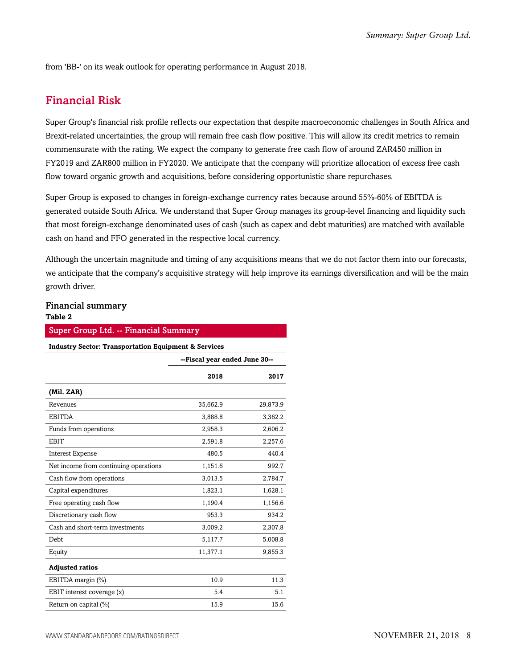<span id="page-7-0"></span>from 'BB-' on its weak outlook for operating performance in August 2018.

### Financial Risk

Super Group's financial risk profile reflects our expectation that despite macroeconomic challenges in South Africa and Brexit-related uncertainties, the group will remain free cash flow positive. This will allow its credit metrics to remain commensurate with the rating. We expect the company to generate free cash flow of around ZAR450 million in FY2019 and ZAR800 million in FY2020. We anticipate that the company will prioritize allocation of excess free cash flow toward organic growth and acquisitions, before considering opportunistic share repurchases.

Super Group is exposed to changes in foreign-exchange currency rates because around 55%-60% of EBITDA is generated outside South Africa. We understand that Super Group manages its group-level financing and liquidity such that most foreign-exchange denominated uses of cash (such as capex and debt maturities) are matched with available cash on hand and FFO generated in the respective local currency.

Although the uncertain magnitude and timing of any acquisitions means that we do not factor them into our forecasts, we anticipate that the company's acquisitive strategy will help improve its earnings diversification and will be the main growth driver.

### Financial summary

#### **Table 2**

| <b>Super Group Ltd. -- Financial Summary</b>                    |                               |          |  |  |  |
|-----------------------------------------------------------------|-------------------------------|----------|--|--|--|
| <b>Industry Sector: Transportation Equipment &amp; Services</b> |                               |          |  |  |  |
|                                                                 | --Fiscal year ended June 30-- |          |  |  |  |
|                                                                 | 2018                          | 2017     |  |  |  |
| (Mil. ZAR)                                                      |                               |          |  |  |  |
| Revenues                                                        | 35,662.9                      | 29,873.9 |  |  |  |
| <b>EBITDA</b>                                                   | 3,888.8                       | 3,362.2  |  |  |  |
| Funds from operations                                           | 2,958.3                       | 2,606.2  |  |  |  |
| <b>EBIT</b>                                                     | 2,591.8                       | 2,257.6  |  |  |  |
| <b>Interest Expense</b>                                         | 480.5                         | 440.4    |  |  |  |
| Net income from continuing operations                           | 1,151.6                       | 992.7    |  |  |  |
| Cash flow from operations                                       | 3,013.5                       | 2,784.7  |  |  |  |
| Capital expenditures                                            | 1,823.1                       | 1,628.1  |  |  |  |
| Free operating cash flow                                        | 1,190.4                       | 1,156.6  |  |  |  |
| Discretionary cash flow                                         | 953.3                         | 934.2    |  |  |  |
| Cash and short-term investments                                 | 3,009.2                       | 2,307.8  |  |  |  |
| Debt                                                            | 5,117.7                       | 5,008.8  |  |  |  |
| Equity                                                          | 11,377.1                      | 9,855.3  |  |  |  |
| <b>Adjusted ratios</b>                                          |                               |          |  |  |  |
| EBITDA margin (%)                                               | 10.9                          | 11.3     |  |  |  |
| EBIT interest coverage (x)                                      | 5.4                           | 5.1      |  |  |  |
| Return on capital (%)                                           | 15.9                          | 15.6     |  |  |  |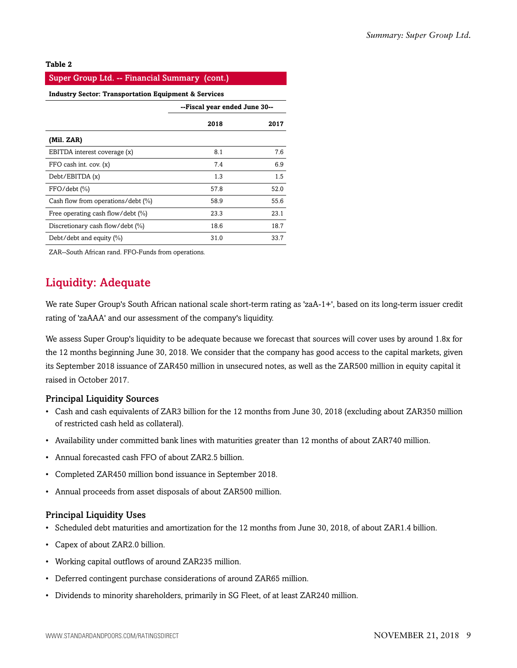#### **Table 2**

| Super Group Ltd. -- Financial Summary (cont.)                   |                               |      |  |  |
|-----------------------------------------------------------------|-------------------------------|------|--|--|
| <b>Industry Sector: Transportation Equipment &amp; Services</b> |                               |      |  |  |
|                                                                 | --Fiscal year ended June 30-- |      |  |  |
|                                                                 | 2017                          |      |  |  |
| (Mil. ZAR)                                                      |                               |      |  |  |
| EBITDA interest coverage (x)                                    | 8.1                           | 7.6  |  |  |
| FFO cash int. cov. (x)                                          | 7.4                           | 6.9  |  |  |
| Debt/EBITDA(x)                                                  | 1.3                           | 1.5  |  |  |
| $FFO/debt$ $(\% )$                                              | 57.8                          | 52.0 |  |  |
| Cash flow from operations/debt (%)                              | 58.9                          | 55.6 |  |  |
| Free operating cash flow/debt (%)                               | 23.3                          | 23.1 |  |  |
| Discretionary cash flow/debt (%)                                | 18.6                          | 18.7 |  |  |
| Debt/debt and equity $(\%)$                                     | 31.0                          | 33.7 |  |  |

<span id="page-8-0"></span>ZAR--South African rand. FFO-Funds from operations.

### Liquidity: Adequate

We rate Super Group's South African national scale short-term rating as 'zaA-1+', based on its long-term issuer credit rating of 'zaAAA' and our assessment of the company's liquidity.

We assess Super Group's liquidity to be adequate because we forecast that sources will cover uses by around 1.8x for the 12 months beginning June 30, 2018. We consider that the company has good access to the capital markets, given its September 2018 issuance of ZAR450 million in unsecured notes, as well as the ZAR500 million in equity capital it raised in October 2017.

#### Principal Liquidity Sources

- Cash and cash equivalents of ZAR3 billion for the 12 months from June 30, 2018 (excluding about ZAR350 million of restricted cash held as collateral).
- Availability under committed bank lines with maturities greater than 12 months of about ZAR740 million.
- Annual forecasted cash FFO of about ZAR2.5 billion.
- Completed ZAR450 million bond issuance in September 2018.
- Annual proceeds from asset disposals of about ZAR500 million.

#### Principal Liquidity Uses

- Scheduled debt maturities and amortization for the 12 months from June 30, 2018, of about ZAR1.4 billion.
- Capex of about ZAR2.0 billion.
- Working capital outflows of around ZAR235 million.
- Deferred contingent purchase considerations of around ZAR65 million.
- Dividends to minority shareholders, primarily in SG Fleet, of at least ZAR240 million.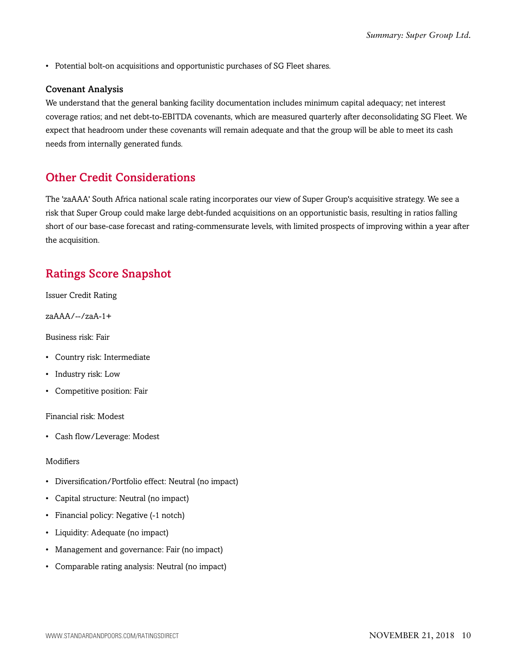• Potential bolt-on acquisitions and opportunistic purchases of SG Fleet shares.

#### Covenant Analysis

We understand that the general banking facility documentation includes minimum capital adequacy; net interest coverage ratios; and net debt-to-EBITDA covenants, which are measured quarterly after deconsolidating SG Fleet. We expect that headroom under these covenants will remain adequate and that the group will be able to meet its cash needs from internally generated funds.

### <span id="page-9-0"></span>Other Credit Considerations

The 'zaAAA' South Africa national scale rating incorporates our view of Super Group's acquisitive strategy. We see a risk that Super Group could make large debt-funded acquisitions on an opportunistic basis, resulting in ratios falling short of our base-case forecast and rating-commensurate levels, with limited prospects of improving within a year after the acquisition.

### <span id="page-9-1"></span>Ratings Score Snapshot

Issuer Credit Rating

zaAAA/--/zaA-1+

Business risk: Fair

- Country risk: Intermediate
- Industry risk: Low
- Competitive position: Fair

Financial risk: Modest

• Cash flow/Leverage: Modest

#### Modifiers

- Diversification/Portfolio effect: Neutral (no impact)
- Capital structure: Neutral (no impact)
- Financial policy: Negative (-1 notch)
- Liquidity: Adequate (no impact)
- Management and governance: Fair (no impact)
- Comparable rating analysis: Neutral (no impact)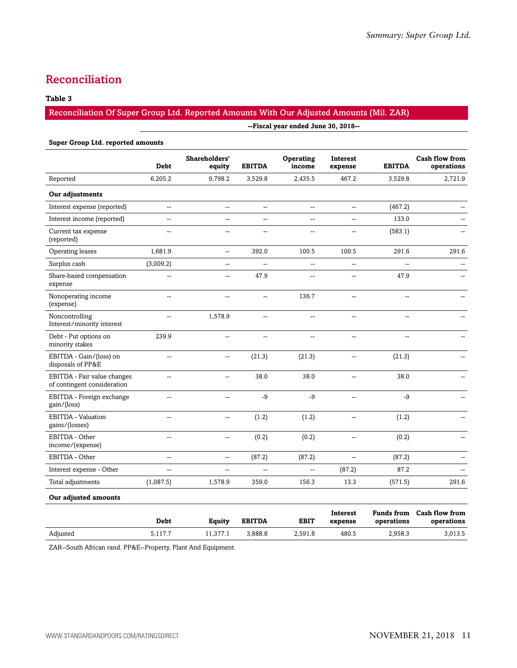### <span id="page-10-0"></span>Reconciliation

#### **Table 3**

#### Reconciliation Of Super Group Ltd. Reported Amounts With Our Adjusted Amounts (Mil. ZAR)

|                                                            | --Fiscal year ended June 30, 2018-- |                          |                |                     |                            |                |                                     |
|------------------------------------------------------------|-------------------------------------|--------------------------|----------------|---------------------|----------------------------|----------------|-------------------------------------|
| <b>Super Group Ltd. reported amounts</b>                   |                                     |                          |                |                     |                            |                |                                     |
|                                                            | <b>Debt</b>                         | Shareholders'<br>equity  | <b>EBITDA</b>  | Operating<br>income | <b>Interest</b><br>expense | <b>EBITDA</b>  | <b>Cash flow from</b><br>operations |
| Reported                                                   | 6,205.2                             | 9,798.2                  | 3,529.8        | 2,435.5             | 467.2                      | 3,529.8        | 2,721.9                             |
| Our adjustments                                            |                                     |                          |                |                     |                            |                |                                     |
| Interest expense (reported)                                | --                                  | $\overline{\phantom{a}}$ | --             | --                  | $\overline{\phantom{a}}$   | (467.2)        |                                     |
| Interest income (reported)                                 | --                                  | --                       | --             | --                  | $\overline{\phantom{a}}$   | 133.0          |                                     |
| Current tax expense<br>(reported)                          | $\overline{a}$                      | $\overline{\phantom{a}}$ | $\overline{a}$ | ÷-                  | $\overline{\phantom{a}}$   | (583.1)        |                                     |
| Operating leases                                           | 1,681.9                             | $\overline{\phantom{a}}$ | 392.0          | 100.5               | 100.5                      | 291.6          | 291.6                               |
| Surplus cash                                               | (3,009.2)                           | $\overline{a}$           | ÷,             | Щ,                  | $\overline{\phantom{a}}$   | $\overline{a}$ | $\overline{\phantom{a}}$            |
| Share-based compensation<br>expense                        | Ξ.                                  | --                       | 47.9           | ÷-                  | $\overline{a}$             | 47.9           |                                     |
| Nonoperating income<br>(expense)                           | $\sim$                              | $\overline{a}$           | $\sim$         | 136.7               | $\overline{a}$             | $\overline{a}$ |                                     |
| Noncontrolling<br>Interest/minority interest               | Ξ.                                  | 1,578.9                  | Ξ.             | ÷-                  | $\overline{a}$             | $\overline{a}$ |                                     |
| Debt - Put options on<br>minority stakes                   | 239.9                               | $\overline{\phantom{a}}$ | Ξ.             | ÷-                  | $\overline{\phantom{a}}$   | Ξ.             |                                     |
| EBITDA - Gain/(loss) on<br>disposals of PP&E               | --                                  | --                       | (21.3)         | (21.3)              | --                         | (21.3)         |                                     |
| EBITDA - Fair value changes<br>of contingent consideration | --                                  | --                       | 38.0           | 38.0                | $\overline{\phantom{a}}$   | 38.0           | $\overline{a}$                      |
| EBITDA - Foreign exchange<br>gain/(loss)                   | --                                  | --                       | -9             | $-9$                | $\overline{\phantom{a}}$   | -9             |                                     |
| EBITDA - Valuation<br>gains/(losses)                       | Ξ.                                  | $\overline{\phantom{a}}$ | (1.2)          | (1.2)               | $\overline{\phantom{a}}$   | (1.2)          |                                     |
| EBITDA - Other<br>income/(expense)                         | --                                  | $\overline{\phantom{a}}$ | (0.2)          | (0.2)               | $\overline{\phantom{a}}$   | (0.2)          |                                     |
| EBITDA - Other                                             | $\overline{a}$                      | $\overline{a}$           | (87.2)         | (87.2)              | $\overline{\phantom{a}}$   | (87.2)         |                                     |
| Interest expense - Other                                   | L.                                  | --                       | L.             | u.                  | (87.2)                     | 87.2           |                                     |
| Total adjustments                                          | (1,087.5)                           | 1,578.9                  | 359.0          | 156.3               | 13.3                       | (571.5)        | 291.6                               |
|                                                            |                                     |                          |                |                     |                            |                |                                     |

#### **Our adjusted amounts**

|          | Debt    | Eauitv   | <b>EBITDA</b> | <b>EBIT</b> | Interest<br>expense | operations | Funds from Cash flow from<br>operations |
|----------|---------|----------|---------------|-------------|---------------------|------------|-----------------------------------------|
| Adjusted | 5,117.7 | 11.377.1 | 3.888.8       | 2.591.8     | 480.5               | 2,958.3    | 3,013.5                                 |

ZAR--South African rand. PP&E--Property, Plant And Equipment.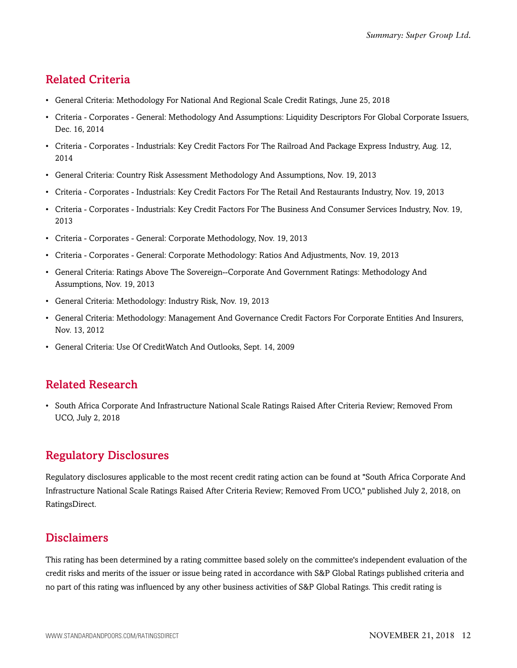### <span id="page-11-0"></span>Related Criteria

- General Criteria: Methodology For National And Regional Scale Credit Ratings, June 25, 2018
- Criteria Corporates General: Methodology And Assumptions: Liquidity Descriptors For Global Corporate Issuers, Dec. 16, 2014
- Criteria Corporates Industrials: Key Credit Factors For The Railroad And Package Express Industry, Aug. 12, 2014
- General Criteria: Country Risk Assessment Methodology And Assumptions, Nov. 19, 2013
- Criteria Corporates Industrials: Key Credit Factors For The Retail And Restaurants Industry, Nov. 19, 2013
- Criteria Corporates Industrials: Key Credit Factors For The Business And Consumer Services Industry, Nov. 19, 2013
- Criteria Corporates General: Corporate Methodology, Nov. 19, 2013
- Criteria Corporates General: Corporate Methodology: Ratios And Adjustments, Nov. 19, 2013
- General Criteria: Ratings Above The Sovereign--Corporate And Government Ratings: Methodology And Assumptions, Nov. 19, 2013
- General Criteria: Methodology: Industry Risk, Nov. 19, 2013
- General Criteria: Methodology: Management And Governance Credit Factors For Corporate Entities And Insurers, Nov. 13, 2012
- General Criteria: Use Of CreditWatch And Outlooks, Sept. 14, 2009

### <span id="page-11-1"></span>Related Research

• South Africa Corporate And Infrastructure National Scale Ratings Raised After Criteria Review; Removed From UCO, July 2, 2018

### <span id="page-11-2"></span>Regulatory Disclosures

Regulatory disclosures applicable to the most recent credit rating action can be found at "South Africa Corporate And Infrastructure National Scale Ratings Raised After Criteria Review; Removed From UCO," published July 2, 2018, on RatingsDirect.

### <span id="page-11-3"></span>Disclaimers

This rating has been determined by a rating committee based solely on the committee's independent evaluation of the credit risks and merits of the issuer or issue being rated in accordance with S&P Global Ratings published criteria and no part of this rating was influenced by any other business activities of S&P Global Ratings. This credit rating is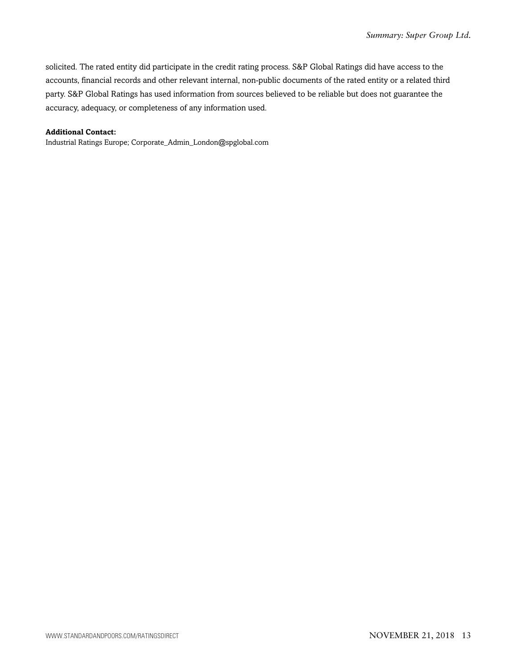solicited. The rated entity did participate in the credit rating process. S&P Global Ratings did have access to the accounts, financial records and other relevant internal, non-public documents of the rated entity or a related third party. S&P Global Ratings has used information from sources believed to be reliable but does not guarantee the accuracy, adequacy, or completeness of any information used.

#### **Additional Contact:**

Industrial Ratings Europe; Corporate\_Admin\_London@spglobal.com